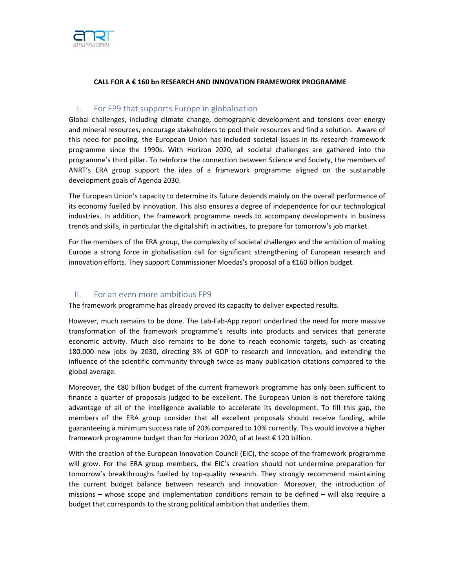

## CALL FOR A € 160 bn RESEARCH AND INNOVATION FRAMEWORK PROGRAMME

## I. For FP9 that supports Europe in globalisation

Global challenges, including climate change, demographic development and tensions over energy and mineral resources, encourage stakeholders to pool their resources and find a solution. Aware of this need for pooling, the European Union has included societal issues in its research framework programme since the 1990s. With Horizon 2020, all societal challenges are gathered into the programme's third pillar. To reinforce the connection between Science and Society, the members of ANRT's ERA group support the idea of a framework programme aligned on the sustainable development goals of Agenda 2030.

The European Union's capacity to determine its future depends mainly on the overall performance of its economy fuelled by innovation. This also ensures a degree of independence for our technological industries. In addition, the framework programme needs to accompany developments in business trends and skills, in particular the digital shift in activities, to prepare for tomorrow's job market.

For the members of the ERA group, the complexity of societal challenges and the ambition of making Europe a strong force in globalisation call for significant strengthening of European research and innovation efforts. They support Commissioner Moedas's proposal of a €160 billion budget.

## II. For an even more ambitious FP9

The framework programme has already proved its capacity to deliver expected results.

However, much remains to be done. The Lab-Fab-App report underlined the need for more massive transformation of the framework programme's results into products and services that generate economic activity. Much also remains to be done to reach economic targets, such as creating 180,000 new jobs by 2030, directing 3% of GDP to research and innovation, and extending the influence of the scientific community through twice as many publication citations compared to the global average.

Moreover, the €80 billion budget of the current framework programme has only been sufficient to finance a quarter of proposals judged to be excellent. The European Union is not therefore taking advantage of all of the intelligence available to accelerate its development. To fill this gap, the members of the ERA group consider that all excellent proposals should receive funding, while guaranteeing a minimum success rate of 20% compared to 10% currently. This would involve a higher framework programme budget than for Horizon 2020, of at least € 120 billion.

With the creation of the European Innovation Council (EIC), the scope of the framework programme will grow. For the ERA group members, the EIC's creation should not undermine preparation for tomorrow's breakthroughs fuelled by top-quality research. They strongly recommend maintaining the current budget balance between research and innovation. Moreover, the introduction of missions – whose scope and implementation conditions remain to be defined – will also require a budget that corresponds to the strong political ambition that underlies them.